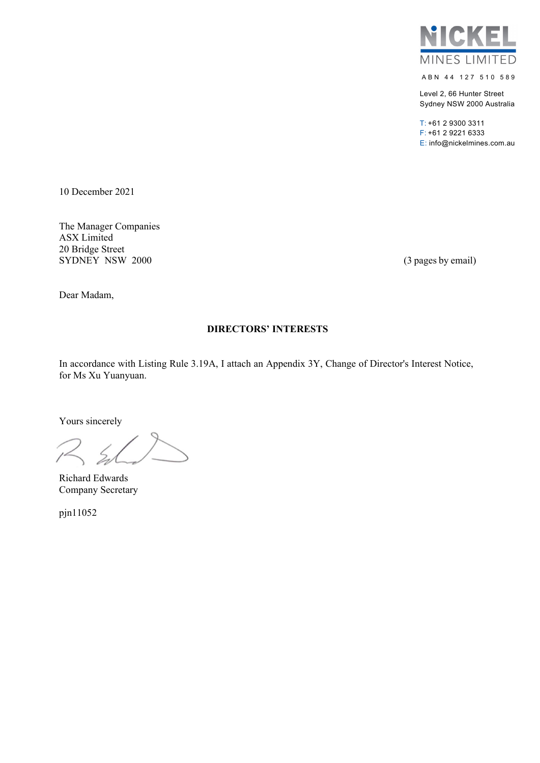

A BN 44 127 510 589

Level 2, 66 Hunter Street Sydney NSW 2000 Australia

T: +61 2 9300 3311 F: +61 2 9221 6333 E: info@nickelmines.com.au

10 December 2021

The Manager Companies ASX Limited 20 Bridge Street SYDNEY NSW 2000 (3 pages by email)

Dear Madam,

### **DIRECTORS' INTERESTS**

In accordance with Listing Rule 3.19A, I attach an Appendix 3Y, Change of Director's Interest Notice, for Ms Xu Yuanyuan.

Yours sincerely

Richard Edwards Company Secretary

pjn11052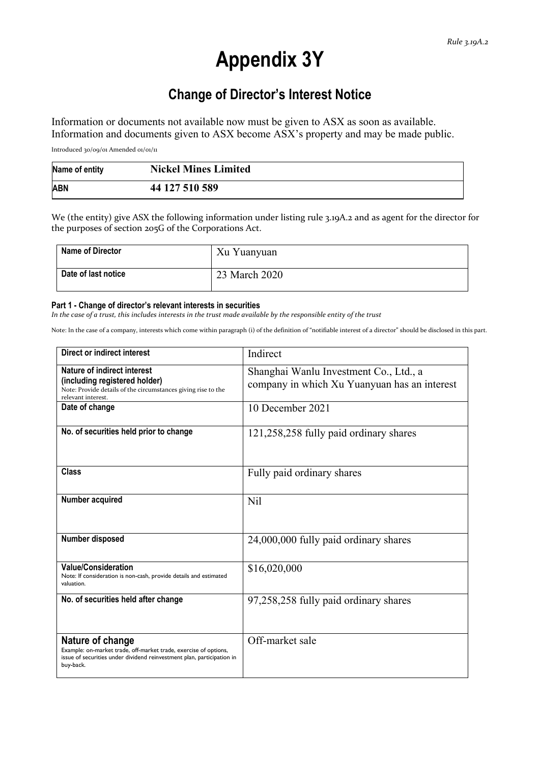# **Appendix 3Y**

# **Change of Director's Interest Notice**

Information or documents not available now must be given to ASX as soon as available. Information and documents given to ASX become ASX's property and may be made public.

Introduced 30/09/01 Amended 01/01/11

| Name of entity | <b>Nickel Mines Limited</b> |
|----------------|-----------------------------|
| <b>ABN</b>     | 44 127 510 589              |

We (the entity) give ASX the following information under listing rule 3.19A.2 and as agent for the director for the purposes of section 205G of the Corporations Act.

| <b>Name of Director</b> | Xu Yuanyuan   |
|-------------------------|---------------|
| Date of last notice     | 23 March 2020 |

#### **Part 1 - Change of director's relevant interests in securities**

In the case of a trust, this includes interests in the trust made available by the responsible entity of the trust

Note: In the case of a company, interests which come within paragraph (i) of the definition of "notifiable interest of a director" should be disclosed in this part.

| <b>Direct or indirect interest</b>                                                                                                                                          | Indirect                                                                               |
|-----------------------------------------------------------------------------------------------------------------------------------------------------------------------------|----------------------------------------------------------------------------------------|
| <b>Nature of indirect interest</b><br>(including registered holder)<br>Note: Provide details of the circumstances giving rise to the<br>relevant interest.                  | Shanghai Wanlu Investment Co., Ltd., a<br>company in which Xu Yuanyuan has an interest |
| Date of change                                                                                                                                                              | 10 December 2021                                                                       |
| No. of securities held prior to change                                                                                                                                      | 121,258,258 fully paid ordinary shares                                                 |
| Class                                                                                                                                                                       | Fully paid ordinary shares                                                             |
| Number acquired                                                                                                                                                             | <b>Nil</b>                                                                             |
| Number disposed                                                                                                                                                             | 24,000,000 fully paid ordinary shares                                                  |
| <b>Value/Consideration</b><br>Note: If consideration is non-cash, provide details and estimated<br>valuation.                                                               | \$16,020,000                                                                           |
| No. of securities held after change                                                                                                                                         | 97,258,258 fully paid ordinary shares                                                  |
| Nature of change<br>Example: on-market trade, off-market trade, exercise of options,<br>issue of securities under dividend reinvestment plan, participation in<br>buy-back. | Off-market sale                                                                        |